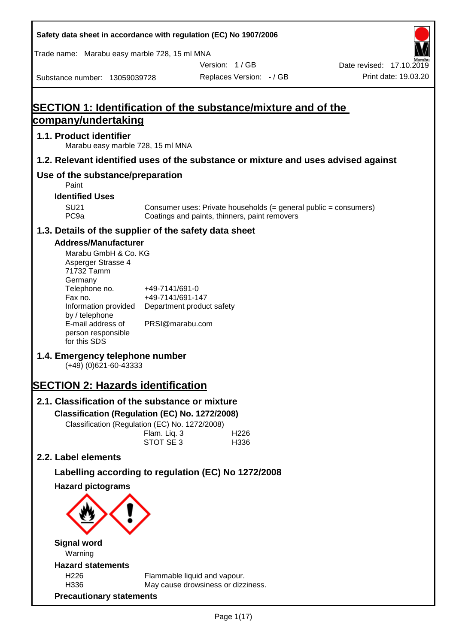| Safety data sheet in accordance with regulation (EC) No 1907/2006                                                                                                                             |                                                                                    |                                                                                                                   |                                                  |
|-----------------------------------------------------------------------------------------------------------------------------------------------------------------------------------------------|------------------------------------------------------------------------------------|-------------------------------------------------------------------------------------------------------------------|--------------------------------------------------|
| Trade name: Marabu easy marble 728, 15 ml MNA                                                                                                                                                 |                                                                                    |                                                                                                                   |                                                  |
| Substance number: 13059039728                                                                                                                                                                 |                                                                                    | Version: 1/GB<br>Replaces Version: - / GB                                                                         | Date revised: 17.10.2019<br>Print date: 19.03.20 |
|                                                                                                                                                                                               |                                                                                    |                                                                                                                   |                                                  |
| SECTION 1: Identification of the substance/mixture and of the                                                                                                                                 |                                                                                    |                                                                                                                   |                                                  |
| <u>company/undertaking</u>                                                                                                                                                                    |                                                                                    |                                                                                                                   |                                                  |
| 1.1. Product identifier<br>Marabu easy marble 728, 15 ml MNA                                                                                                                                  |                                                                                    |                                                                                                                   |                                                  |
| 1.2. Relevant identified uses of the substance or mixture and uses advised against                                                                                                            |                                                                                    |                                                                                                                   |                                                  |
| Use of the substance/preparation<br>Paint                                                                                                                                                     |                                                                                    |                                                                                                                   |                                                  |
| <b>Identified Uses</b>                                                                                                                                                                        |                                                                                    |                                                                                                                   |                                                  |
| <b>SU21</b><br>PC <sub>9a</sub>                                                                                                                                                               |                                                                                    | Consumer uses: Private households (= general public = consumers)<br>Coatings and paints, thinners, paint removers |                                                  |
| 1.3. Details of the supplier of the safety data sheet                                                                                                                                         |                                                                                    |                                                                                                                   |                                                  |
| <b>Address/Manufacturer</b><br>Marabu GmbH & Co. KG<br>Asperger Strasse 4<br>71732 Tamm<br>Germany<br>Telephone no.<br>Fax no.<br>Information provided<br>by / telephone<br>E-mail address of | +49-7141/691-0<br>+49-7141/691-147<br>Department product safety<br>PRSI@marabu.com |                                                                                                                   |                                                  |
| person responsible<br>for this SDS                                                                                                                                                            |                                                                                    |                                                                                                                   |                                                  |
| 1.4. Emergency telephone number<br>$(+49)$ (0)621-60-43333                                                                                                                                    |                                                                                    |                                                                                                                   |                                                  |
| <b>SECTION 2: Hazards identification</b>                                                                                                                                                      |                                                                                    |                                                                                                                   |                                                  |
| 2.1. Classification of the substance or mixture                                                                                                                                               |                                                                                    |                                                                                                                   |                                                  |
| Classification (Regulation (EC) No. 1272/2008)                                                                                                                                                |                                                                                    |                                                                                                                   |                                                  |
| Classification (Regulation (EC) No. 1272/2008)                                                                                                                                                | Flam. Liq. 3<br>STOT SE 3                                                          | H226<br>H336                                                                                                      |                                                  |
| 2.2. Label elements                                                                                                                                                                           |                                                                                    |                                                                                                                   |                                                  |
| Labelling according to regulation (EC) No 1272/2008                                                                                                                                           |                                                                                    |                                                                                                                   |                                                  |
| <b>Hazard pictograms</b>                                                                                                                                                                      |                                                                                    |                                                                                                                   |                                                  |
|                                                                                                                                                                                               |                                                                                    |                                                                                                                   |                                                  |
| <b>Signal word</b><br>Warning                                                                                                                                                                 |                                                                                    |                                                                                                                   |                                                  |
| <b>Hazard statements</b>                                                                                                                                                                      |                                                                                    |                                                                                                                   |                                                  |
| H226<br>H336                                                                                                                                                                                  |                                                                                    | Flammable liquid and vapour.<br>May cause drowsiness or dizziness.                                                |                                                  |
| <b>Precautionary statements</b>                                                                                                                                                               |                                                                                    |                                                                                                                   |                                                  |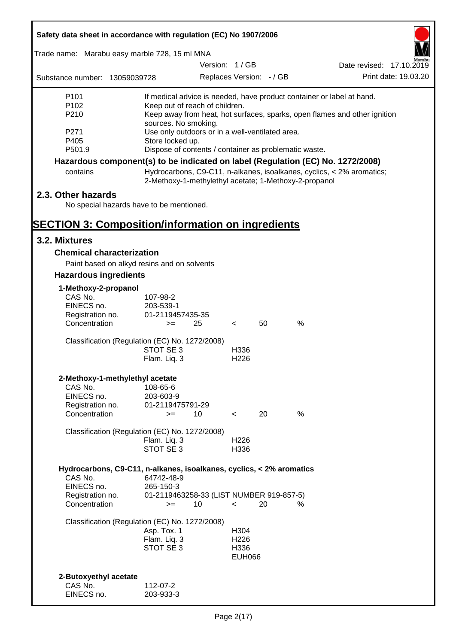| Safety data sheet in accordance with regulation (EC) No 1907/2006               |                           |                                                       |                          |    |               |                                                                           |
|---------------------------------------------------------------------------------|---------------------------|-------------------------------------------------------|--------------------------|----|---------------|---------------------------------------------------------------------------|
| Trade name: Marabu easy marble 728, 15 ml MNA                                   |                           |                                                       |                          |    |               |                                                                           |
|                                                                                 |                           | Version: 1/GB                                         |                          |    |               | Date revised: 17.10.2019                                                  |
| Substance number: 13059039728                                                   |                           |                                                       | Replaces Version: - / GB |    |               | Print date: 19.03.20                                                      |
| P <sub>101</sub>                                                                |                           |                                                       |                          |    |               | If medical advice is needed, have product container or label at hand.     |
| P <sub>102</sub>                                                                |                           | Keep out of reach of children.                        |                          |    |               |                                                                           |
| P210                                                                            |                           |                                                       |                          |    |               | Keep away from heat, hot surfaces, sparks, open flames and other ignition |
| P271                                                                            | sources. No smoking.      | Use only outdoors or in a well-ventilated area.       |                          |    |               |                                                                           |
| P405                                                                            | Store locked up.          |                                                       |                          |    |               |                                                                           |
| P501.9                                                                          |                           | Dispose of contents / container as problematic waste. |                          |    |               |                                                                           |
| Hazardous component(s) to be indicated on label (Regulation (EC) No. 1272/2008) |                           |                                                       |                          |    |               |                                                                           |
| contains                                                                        |                           | 2-Methoxy-1-methylethyl acetate; 1-Methoxy-2-propanol |                          |    |               | Hydrocarbons, C9-C11, n-alkanes, isoalkanes, cyclics, < 2% aromatics;     |
| 2.3. Other hazards                                                              |                           |                                                       |                          |    |               |                                                                           |
| No special hazards have to be mentioned.                                        |                           |                                                       |                          |    |               |                                                                           |
| <b>SECTION 3: Composition/information on ingredients</b>                        |                           |                                                       |                          |    |               |                                                                           |
| 3.2. Mixtures                                                                   |                           |                                                       |                          |    |               |                                                                           |
| <b>Chemical characterization</b>                                                |                           |                                                       |                          |    |               |                                                                           |
| Paint based on alkyd resins and on solvents                                     |                           |                                                       |                          |    |               |                                                                           |
| <b>Hazardous ingredients</b>                                                    |                           |                                                       |                          |    |               |                                                                           |
| 1-Methoxy-2-propanol                                                            |                           |                                                       |                          |    |               |                                                                           |
| CAS No.                                                                         | 107-98-2                  |                                                       |                          |    |               |                                                                           |
| EINECS no.                                                                      | 203-539-1                 |                                                       |                          |    |               |                                                                           |
| Registration no.<br>Concentration                                               | 01-2119457435-35<br>$>=$  | 25                                                    | $\lt$                    | 50 | $\%$          |                                                                           |
| Classification (Regulation (EC) No. 1272/2008)                                  |                           |                                                       |                          |    |               |                                                                           |
|                                                                                 | STOT SE 3                 |                                                       | H336                     |    |               |                                                                           |
|                                                                                 | Flam. Liq. 3              |                                                       | H <sub>226</sub>         |    |               |                                                                           |
| 2-Methoxy-1-methylethyl acetate                                                 |                           |                                                       |                          |    |               |                                                                           |
| CAS No.                                                                         | 108-65-6                  |                                                       |                          |    |               |                                                                           |
| EINECS no.                                                                      | 203-603-9                 |                                                       |                          |    |               |                                                                           |
| Registration no.<br>Concentration                                               | 01-2119475791-29<br>$=$   | 10                                                    | $\lt$                    | 20 | $\frac{0}{0}$ |                                                                           |
|                                                                                 |                           |                                                       |                          |    |               |                                                                           |
| Classification (Regulation (EC) No. 1272/2008)                                  |                           |                                                       |                          |    |               |                                                                           |
|                                                                                 | Flam. Liq. 3              |                                                       | H <sub>226</sub>         |    |               |                                                                           |
|                                                                                 | STOT SE 3                 |                                                       | H336                     |    |               |                                                                           |
| Hydrocarbons, C9-C11, n-alkanes, isoalkanes, cyclics, < 2% aromatics            |                           |                                                       |                          |    |               |                                                                           |
| CAS No.                                                                         | 64742-48-9                |                                                       |                          |    |               |                                                                           |
| EINECS no.<br>Registration no.                                                  | 265-150-3                 | 01-2119463258-33 (LIST NUMBER 919-857-5)              |                          |    |               |                                                                           |
| Concentration                                                                   | $>=$                      | 10                                                    | $\prec$                  | 20 | ℅             |                                                                           |
| Classification (Regulation (EC) No. 1272/2008)                                  |                           |                                                       |                          |    |               |                                                                           |
|                                                                                 | Asp. Tox. 1               |                                                       | H304                     |    |               |                                                                           |
|                                                                                 | Flam. Liq. 3<br>STOT SE 3 |                                                       | H <sub>226</sub><br>H336 |    |               |                                                                           |
|                                                                                 |                           |                                                       | <b>EUH066</b>            |    |               |                                                                           |
|                                                                                 |                           |                                                       |                          |    |               |                                                                           |
| 2-Butoxyethyl acetate                                                           |                           |                                                       |                          |    |               |                                                                           |
| CAS No.<br>EINECS no.                                                           | 112-07-2<br>203-933-3     |                                                       |                          |    |               |                                                                           |
|                                                                                 |                           |                                                       |                          |    |               |                                                                           |

7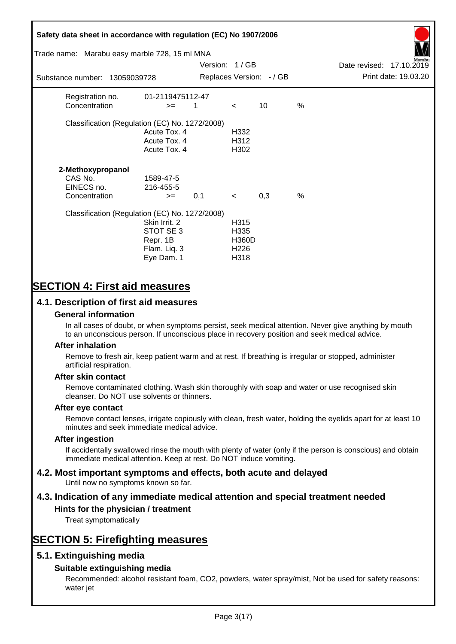# **Safety data sheet in accordance with regulation (EC) No 1907/2006** Substance number: 13059039728 Version: 1 / GB Replaces Version:  $-$  / GB Print date: 19.03.20 Date revised: 17.10.2019 Trade name: Marabu easy marble 728, 15 ml MNA Registration no. 01-2119475112-47  $\text{Concentration}$   $\geq$  1 < 10 % Classification (Regulation (EC) No. 1272/2008) Acute Tox. 4 H332 Acute Tox. 4 H312 Acute Tox. 4 H302 **2-Methoxypropanol** CAS No. 1589-47-5 EINECS no. 216-455-5  $\text{Concentration}$   $\rightarrow$  0.1 < 0.3 % Classification (Regulation (EC) No. 1272/2008) Skin Irrit. 2 H315 STOT SE 3 H335 Repr. 1B H360D Flam. Liq. 3 H226 Eye Dam. 1 H318

# **SECTION 4: First aid measures**

## **4.1. Description of first aid measures**

#### **General information**

In all cases of doubt, or when symptoms persist, seek medical attention. Never give anything by mouth to an unconscious person. If unconscious place in recovery position and seek medical advice.

#### **After inhalation**

Remove to fresh air, keep patient warm and at rest. If breathing is irregular or stopped, administer artificial respiration.

#### **After skin contact**

Remove contaminated clothing. Wash skin thoroughly with soap and water or use recognised skin cleanser. Do NOT use solvents or thinners.

#### **After eye contact**

Remove contact lenses, irrigate copiously with clean, fresh water, holding the eyelids apart for at least 10 minutes and seek immediate medical advice.

#### **After ingestion**

If accidentally swallowed rinse the mouth with plenty of water (only if the person is conscious) and obtain immediate medical attention. Keep at rest. Do NOT induce vomiting.

# **4.2. Most important symptoms and effects, both acute and delayed**

Until now no symptoms known so far.

# **4.3. Indication of any immediate medical attention and special treatment needed**

#### **Hints for the physician / treatment**

Treat symptomatically

# **SECTION 5: Firefighting measures**

### **5.1. Extinguishing media**

### **Suitable extinguishing media**

Recommended: alcohol resistant foam, CO2, powders, water spray/mist, Not be used for safety reasons: water jet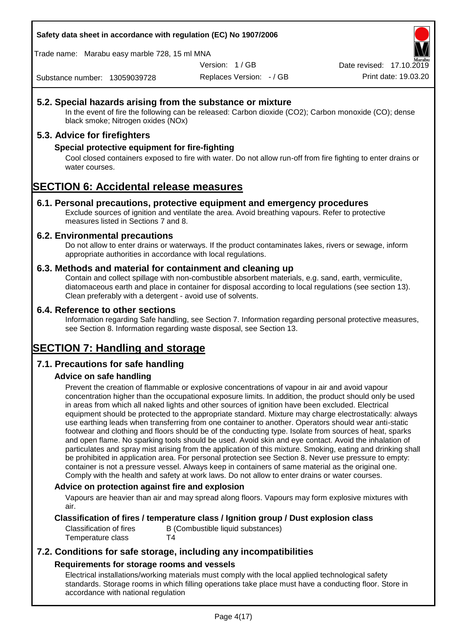**Safety data sheet in accordance with regulation (EC) No 1907/2006**

Trade name: Marabu easy marble 728, 15 ml MNA

Version: 1 / GB

Replaces Version: - / GB Print date: 19.03.20 Date revised: 17.10.2

Substance number: 13059039728

## **5.2. Special hazards arising from the substance or mixture**

In the event of fire the following can be released: Carbon dioxide (CO2); Carbon monoxide (CO); dense black smoke; Nitrogen oxides (NOx)

### **5.3. Advice for firefighters**

### **Special protective equipment for fire-fighting**

Cool closed containers exposed to fire with water. Do not allow run-off from fire fighting to enter drains or water courses.

# **SECTION 6: Accidental release measures**

#### **6.1. Personal precautions, protective equipment and emergency procedures**

Exclude sources of ignition and ventilate the area. Avoid breathing vapours. Refer to protective measures listed in Sections 7 and 8.

#### **6.2. Environmental precautions**

Do not allow to enter drains or waterways. If the product contaminates lakes, rivers or sewage, inform appropriate authorities in accordance with local regulations.

#### **6.3. Methods and material for containment and cleaning up**

Contain and collect spillage with non-combustible absorbent materials, e.g. sand, earth, vermiculite, diatomaceous earth and place in container for disposal according to local regulations (see section 13). Clean preferably with a detergent - avoid use of solvents.

#### **6.4. Reference to other sections**

Information regarding Safe handling, see Section 7. Information regarding personal protective measures, see Section 8. Information regarding waste disposal, see Section 13.

# **SECTION 7: Handling and storage**

### **7.1. Precautions for safe handling**

### **Advice on safe handling**

Prevent the creation of flammable or explosive concentrations of vapour in air and avoid vapour concentration higher than the occupational exposure limits. In addition, the product should only be used in areas from which all naked lights and other sources of ignition have been excluded. Electrical equipment should be protected to the appropriate standard. Mixture may charge electrostatically: always use earthing leads when transferring from one container to another. Operators should wear anti-static footwear and clothing and floors should be of the conducting type. Isolate from sources of heat, sparks and open flame. No sparking tools should be used. Avoid skin and eye contact. Avoid the inhalation of particulates and spray mist arising from the application of this mixture. Smoking, eating and drinking shall be prohibited in application area. For personal protection see Section 8. Never use pressure to empty: container is not a pressure vessel. Always keep in containers of same material as the original one. Comply with the health and safety at work laws. Do not allow to enter drains or water courses.

#### **Advice on protection against fire and explosion**

Vapours are heavier than air and may spread along floors. Vapours may form explosive mixtures with air.

#### **Classification of fires / temperature class / Ignition group / Dust explosion class**

Classification of fires B (Combustible liquid substances) Temperature class T4

## **7.2. Conditions for safe storage, including any incompatibilities Requirements for storage rooms and vessels**

Electrical installations/working materials must comply with the local applied technological safety standards. Storage rooms in which filling operations take place must have a conducting floor. Store in accordance with national regulation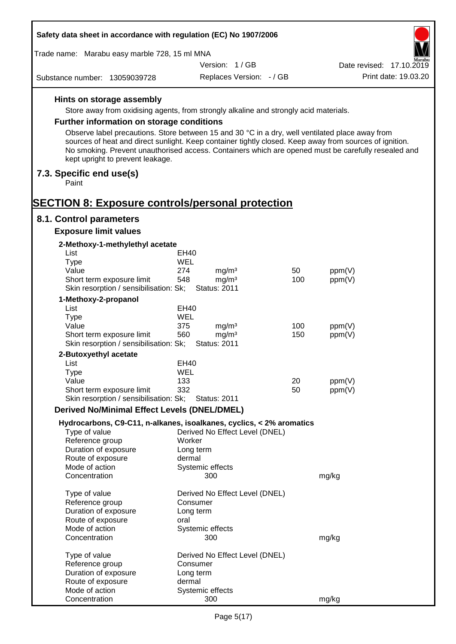| Safety data sheet in accordance with regulation (EC) No 1907/2006                                                                                                                                                                                                                                                                                     |                                |     |                          |
|-------------------------------------------------------------------------------------------------------------------------------------------------------------------------------------------------------------------------------------------------------------------------------------------------------------------------------------------------------|--------------------------------|-----|--------------------------|
| Trade name: Marabu easy marble 728, 15 ml MNA                                                                                                                                                                                                                                                                                                         |                                |     |                          |
|                                                                                                                                                                                                                                                                                                                                                       | Version: 1/GB                  |     | Date revised: 17.10.2019 |
| Substance number: 13059039728                                                                                                                                                                                                                                                                                                                         | Replaces Version: - / GB       |     | Print date: 19.03.20     |
| Hints on storage assembly                                                                                                                                                                                                                                                                                                                             |                                |     |                          |
| Store away from oxidising agents, from strongly alkaline and strongly acid materials.                                                                                                                                                                                                                                                                 |                                |     |                          |
| Further information on storage conditions                                                                                                                                                                                                                                                                                                             |                                |     |                          |
|                                                                                                                                                                                                                                                                                                                                                       |                                |     |                          |
| Observe label precautions. Store between 15 and 30 °C in a dry, well ventilated place away from<br>sources of heat and direct sunlight. Keep container tightly closed. Keep away from sources of ignition.<br>No smoking. Prevent unauthorised access. Containers which are opened must be carefully resealed and<br>kept upright to prevent leakage. |                                |     |                          |
| 7.3. Specific end use(s)<br>Paint                                                                                                                                                                                                                                                                                                                     |                                |     |                          |
| <b>SECTION 8: Exposure controls/personal protection</b>                                                                                                                                                                                                                                                                                               |                                |     |                          |
| 8.1. Control parameters                                                                                                                                                                                                                                                                                                                               |                                |     |                          |
| <b>Exposure limit values</b>                                                                                                                                                                                                                                                                                                                          |                                |     |                          |
| 2-Methoxy-1-methylethyl acetate                                                                                                                                                                                                                                                                                                                       |                                |     |                          |
| List                                                                                                                                                                                                                                                                                                                                                  | EH40                           |     |                          |
| <b>Type</b>                                                                                                                                                                                                                                                                                                                                           | WEL                            |     |                          |
| Value                                                                                                                                                                                                                                                                                                                                                 | 274<br>mg/m <sup>3</sup>       | 50  | ppm(V)                   |
| Short term exposure limit                                                                                                                                                                                                                                                                                                                             | 548<br>mg/m <sup>3</sup>       | 100 | ppm(V)                   |
| Skin resorption / sensibilisation: Sk;                                                                                                                                                                                                                                                                                                                | <b>Status: 2011</b>            |     |                          |
| 1-Methoxy-2-propanol<br>List                                                                                                                                                                                                                                                                                                                          | <b>EH40</b>                    |     |                          |
| <b>Type</b>                                                                                                                                                                                                                                                                                                                                           | WEL                            |     |                          |
| Value                                                                                                                                                                                                                                                                                                                                                 | 375<br>mg/m <sup>3</sup>       | 100 | ppm(V)                   |
| Short term exposure limit                                                                                                                                                                                                                                                                                                                             | 560<br>mg/m <sup>3</sup>       | 150 | ppm(V)                   |
| Skin resorption / sensibilisation: Sk;                                                                                                                                                                                                                                                                                                                | <b>Status: 2011</b>            |     |                          |
| 2-Butoxyethyl acetate                                                                                                                                                                                                                                                                                                                                 |                                |     |                          |
| List<br>Type                                                                                                                                                                                                                                                                                                                                          | EH40<br>WEL                    |     |                          |
| Value                                                                                                                                                                                                                                                                                                                                                 | 133                            | 20  | ppm(V)                   |
| Short term exposure limit                                                                                                                                                                                                                                                                                                                             | 332                            | 50  | ppm(V)                   |
| Skin resorption / sensibilisation: Sk;                                                                                                                                                                                                                                                                                                                | <b>Status: 2011</b>            |     |                          |
| <b>Derived No/Minimal Effect Levels (DNEL/DMEL)</b>                                                                                                                                                                                                                                                                                                   |                                |     |                          |
| Hydrocarbons, C9-C11, n-alkanes, isoalkanes, cyclics, < 2% aromatics                                                                                                                                                                                                                                                                                  |                                |     |                          |
| Type of value                                                                                                                                                                                                                                                                                                                                         | Derived No Effect Level (DNEL) |     |                          |
| Reference group                                                                                                                                                                                                                                                                                                                                       | Worker                         |     |                          |
| Duration of exposure<br>Route of exposure                                                                                                                                                                                                                                                                                                             | Long term<br>dermal            |     |                          |
| Mode of action                                                                                                                                                                                                                                                                                                                                        | Systemic effects               |     |                          |
| Concentration                                                                                                                                                                                                                                                                                                                                         | 300                            |     | mg/kg                    |
| Type of value                                                                                                                                                                                                                                                                                                                                         | Derived No Effect Level (DNEL) |     |                          |
| Reference group                                                                                                                                                                                                                                                                                                                                       | Consumer                       |     |                          |
| Duration of exposure                                                                                                                                                                                                                                                                                                                                  | Long term                      |     |                          |
| Route of exposure                                                                                                                                                                                                                                                                                                                                     | oral                           |     |                          |
| Mode of action<br>Concentration                                                                                                                                                                                                                                                                                                                       | Systemic effects<br>300        |     |                          |
|                                                                                                                                                                                                                                                                                                                                                       |                                |     | mg/kg                    |
| Type of value                                                                                                                                                                                                                                                                                                                                         | Derived No Effect Level (DNEL) |     |                          |
| Reference group                                                                                                                                                                                                                                                                                                                                       | Consumer                       |     |                          |
| Duration of exposure                                                                                                                                                                                                                                                                                                                                  | Long term                      |     |                          |
| Route of exposure                                                                                                                                                                                                                                                                                                                                     | dermal                         |     |                          |
| Mode of action<br>Concentration                                                                                                                                                                                                                                                                                                                       | Systemic effects<br>300        |     | mg/kg                    |
|                                                                                                                                                                                                                                                                                                                                                       |                                |     |                          |

Г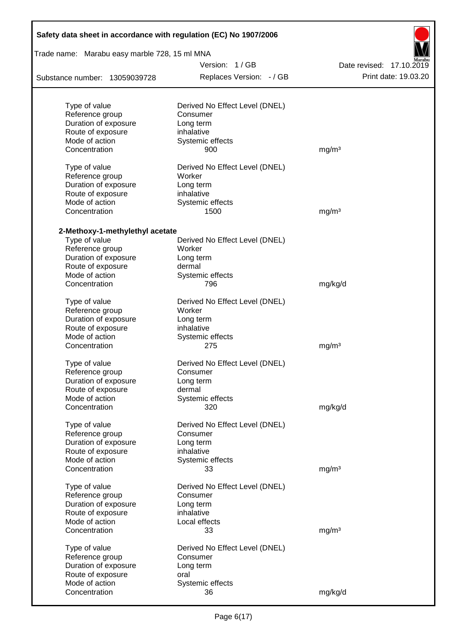| Safety data sheet in accordance with regulation (EC) No 1907/2006 |                                               |                          |  |  |  |  |  |
|-------------------------------------------------------------------|-----------------------------------------------|--------------------------|--|--|--|--|--|
|                                                                   | Trade name: Marabu easy marble 728, 15 ml MNA |                          |  |  |  |  |  |
|                                                                   | Version: 1/GB                                 | Date revised: 17.10.2019 |  |  |  |  |  |
| Substance number: 13059039728                                     | Replaces Version: - / GB                      | Print date: 19.03.20     |  |  |  |  |  |
| Type of value                                                     | Derived No Effect Level (DNEL)                |                          |  |  |  |  |  |
| Reference group                                                   | Consumer                                      |                          |  |  |  |  |  |
| Duration of exposure                                              | Long term                                     |                          |  |  |  |  |  |
| Route of exposure                                                 | inhalative                                    |                          |  |  |  |  |  |
| Mode of action                                                    | Systemic effects                              |                          |  |  |  |  |  |
| Concentration                                                     | 900                                           | mg/m <sup>3</sup>        |  |  |  |  |  |
| Type of value<br>Reference group                                  | Derived No Effect Level (DNEL)<br>Worker      |                          |  |  |  |  |  |
| Duration of exposure                                              | Long term                                     |                          |  |  |  |  |  |
| Route of exposure                                                 | inhalative                                    |                          |  |  |  |  |  |
| Mode of action                                                    | Systemic effects                              |                          |  |  |  |  |  |
| Concentration                                                     | 1500                                          | mg/m <sup>3</sup>        |  |  |  |  |  |
|                                                                   |                                               |                          |  |  |  |  |  |
| 2-Methoxy-1-methylethyl acetate                                   |                                               |                          |  |  |  |  |  |
| Type of value                                                     | Derived No Effect Level (DNEL)                |                          |  |  |  |  |  |
| Reference group                                                   | Worker                                        |                          |  |  |  |  |  |
| Duration of exposure                                              | Long term                                     |                          |  |  |  |  |  |
| Route of exposure                                                 | dermal                                        |                          |  |  |  |  |  |
| Mode of action<br>Concentration                                   | Systemic effects<br>796                       | mg/kg/d                  |  |  |  |  |  |
|                                                                   |                                               |                          |  |  |  |  |  |
| Type of value<br>Reference group                                  | Derived No Effect Level (DNEL)<br>Worker      |                          |  |  |  |  |  |
| Duration of exposure                                              |                                               |                          |  |  |  |  |  |
| Route of exposure                                                 | Long term<br>inhalative                       |                          |  |  |  |  |  |
| Mode of action                                                    |                                               |                          |  |  |  |  |  |
| Concentration                                                     | Systemic effects<br>275                       | mg/m <sup>3</sup>        |  |  |  |  |  |
|                                                                   |                                               |                          |  |  |  |  |  |
| Type of value                                                     | Derived No Effect Level (DNEL)                |                          |  |  |  |  |  |
| Reference group                                                   | Consumer                                      |                          |  |  |  |  |  |
| Duration of exposure                                              | Long term                                     |                          |  |  |  |  |  |
| Route of exposure                                                 | dermal                                        |                          |  |  |  |  |  |
| Mode of action                                                    | Systemic effects                              |                          |  |  |  |  |  |
| Concentration                                                     | 320                                           | mg/kg/d                  |  |  |  |  |  |
| Type of value                                                     | Derived No Effect Level (DNEL)                |                          |  |  |  |  |  |
| Reference group                                                   | Consumer                                      |                          |  |  |  |  |  |
| Duration of exposure                                              | Long term                                     |                          |  |  |  |  |  |
| Route of exposure                                                 | inhalative                                    |                          |  |  |  |  |  |
| Mode of action                                                    | Systemic effects                              |                          |  |  |  |  |  |
| Concentration                                                     | 33                                            | mg/m <sup>3</sup>        |  |  |  |  |  |
| Type of value                                                     | Derived No Effect Level (DNEL)                |                          |  |  |  |  |  |
| Reference group                                                   | Consumer                                      |                          |  |  |  |  |  |
| Duration of exposure                                              | Long term                                     |                          |  |  |  |  |  |
| Route of exposure                                                 | inhalative                                    |                          |  |  |  |  |  |
| Mode of action                                                    | Local effects                                 |                          |  |  |  |  |  |
| Concentration                                                     | 33                                            | mg/m <sup>3</sup>        |  |  |  |  |  |
| Type of value                                                     | Derived No Effect Level (DNEL)                |                          |  |  |  |  |  |
| Reference group                                                   | Consumer                                      |                          |  |  |  |  |  |
| Duration of exposure                                              | Long term                                     |                          |  |  |  |  |  |
| Route of exposure                                                 | oral                                          |                          |  |  |  |  |  |
| Mode of action                                                    | Systemic effects                              |                          |  |  |  |  |  |
| Concentration                                                     | 36                                            | mg/kg/d                  |  |  |  |  |  |
|                                                                   |                                               |                          |  |  |  |  |  |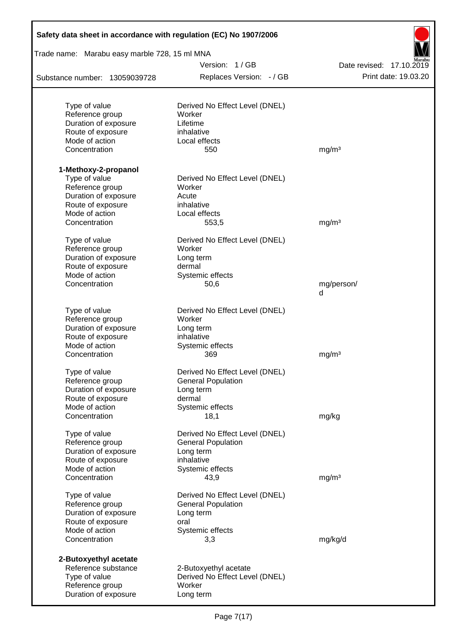| Safety data sheet in accordance with regulation (EC) No 1907/2006 |                                          |                          |
|-------------------------------------------------------------------|------------------------------------------|--------------------------|
| Trade name: Marabu easy marble 728, 15 ml MNA                     |                                          |                          |
|                                                                   | Version: 1/GB                            | Date revised: 17.10.2019 |
| Substance number: 13059039728                                     | Replaces Version: - / GB                 | Print date: 19.03.20     |
|                                                                   |                                          |                          |
| Type of value<br>Reference group                                  | Derived No Effect Level (DNEL)<br>Worker |                          |
| Duration of exposure                                              | Lifetime                                 |                          |
| Route of exposure                                                 | inhalative                               |                          |
| Mode of action                                                    | Local effects                            |                          |
| Concentration                                                     | 550                                      | mg/m <sup>3</sup>        |
| 1-Methoxy-2-propanol                                              |                                          |                          |
| Type of value                                                     | Derived No Effect Level (DNEL)           |                          |
| Reference group                                                   | Worker                                   |                          |
| Duration of exposure                                              | Acute                                    |                          |
| Route of exposure                                                 | inhalative                               |                          |
| Mode of action                                                    | Local effects                            |                          |
| Concentration                                                     | 553,5                                    | mg/m <sup>3</sup>        |
| Type of value                                                     | Derived No Effect Level (DNEL)           |                          |
| Reference group                                                   | Worker                                   |                          |
| Duration of exposure                                              | Long term                                |                          |
| Route of exposure                                                 | dermal                                   |                          |
| Mode of action                                                    | Systemic effects                         |                          |
| Concentration                                                     | 50,6                                     | mg/person/<br>d          |
|                                                                   |                                          |                          |
| Type of value<br>Reference group                                  | Derived No Effect Level (DNEL)<br>Worker |                          |
| Duration of exposure                                              | Long term                                |                          |
| Route of exposure                                                 | inhalative                               |                          |
| Mode of action                                                    | Systemic effects                         |                          |
| Concentration                                                     | 369                                      | mg/m <sup>3</sup>        |
| Type of value                                                     | Derived No Effect Level (DNEL)           |                          |
| Reference group                                                   | <b>General Population</b>                |                          |
| Duration of exposure                                              | Long term                                |                          |
| Route of exposure                                                 | dermal                                   |                          |
| Mode of action                                                    | Systemic effects                         |                          |
| Concentration                                                     | 18,1                                     | mg/kg                    |
| Type of value                                                     | Derived No Effect Level (DNEL)           |                          |
| Reference group                                                   | <b>General Population</b>                |                          |
| Duration of exposure                                              | Long term                                |                          |
| Route of exposure                                                 | inhalative                               |                          |
| Mode of action                                                    | Systemic effects                         |                          |
| Concentration                                                     | 43,9                                     | mg/m <sup>3</sup>        |
| Type of value                                                     | Derived No Effect Level (DNEL)           |                          |
| Reference group                                                   | <b>General Population</b>                |                          |
| Duration of exposure                                              | Long term                                |                          |
| Route of exposure                                                 | oral                                     |                          |
| Mode of action                                                    | Systemic effects                         |                          |
| Concentration                                                     | 3,3                                      | mg/kg/d                  |
| 2-Butoxyethyl acetate                                             |                                          |                          |
| Reference substance                                               | 2-Butoxyethyl acetate                    |                          |
| Type of value                                                     | Derived No Effect Level (DNEL)           |                          |
| Reference group                                                   | Worker                                   |                          |
| Duration of exposure                                              | Long term                                |                          |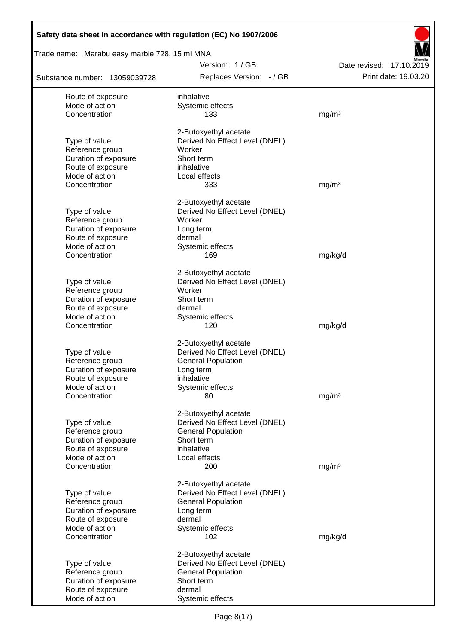| Safety data sheet in accordance with regulation (EC) No 1907/2006 |                                                         |                                                  |
|-------------------------------------------------------------------|---------------------------------------------------------|--------------------------------------------------|
| Trade name: Marabu easy marble 728, 15 ml MNA                     |                                                         |                                                  |
| Substance number: 13059039728                                     | Version: 1/GB<br>Replaces Version: - / GB               | Date revised: 17.10.2019<br>Print date: 19.03.20 |
| Route of exposure                                                 | inhalative                                              |                                                  |
| Mode of action                                                    | Systemic effects                                        |                                                  |
| Concentration                                                     | 133                                                     | mg/m <sup>3</sup>                                |
|                                                                   | 2-Butoxyethyl acetate                                   |                                                  |
| Type of value                                                     | Derived No Effect Level (DNEL)                          |                                                  |
| Reference group                                                   | Worker                                                  |                                                  |
| Duration of exposure                                              | Short term                                              |                                                  |
| Route of exposure                                                 | inhalative                                              |                                                  |
| Mode of action<br>Concentration                                   | Local effects<br>333                                    | mg/m <sup>3</sup>                                |
|                                                                   |                                                         |                                                  |
|                                                                   | 2-Butoxyethyl acetate                                   |                                                  |
| Type of value                                                     | Derived No Effect Level (DNEL)                          |                                                  |
| Reference group<br>Duration of exposure                           | Worker<br>Long term                                     |                                                  |
| Route of exposure                                                 | dermal                                                  |                                                  |
| Mode of action                                                    | Systemic effects                                        |                                                  |
| Concentration                                                     | 169                                                     | mg/kg/d                                          |
|                                                                   | 2-Butoxyethyl acetate                                   |                                                  |
| Type of value                                                     | Derived No Effect Level (DNEL)                          |                                                  |
| Reference group                                                   | Worker                                                  |                                                  |
| Duration of exposure                                              | Short term                                              |                                                  |
| Route of exposure                                                 | dermal                                                  |                                                  |
| Mode of action<br>Concentration                                   | Systemic effects<br>120                                 | mg/kg/d                                          |
|                                                                   |                                                         |                                                  |
|                                                                   | 2-Butoxyethyl acetate                                   |                                                  |
| Type of value                                                     | Derived No Effect Level (DNEL)                          |                                                  |
| Reference group<br>Duration of exposure                           | <b>General Population</b><br>Long term                  |                                                  |
| Route of exposure                                                 | inhalative                                              |                                                  |
| Mode of action                                                    | Systemic effects                                        |                                                  |
| Concentration                                                     | 80                                                      | mg/m <sup>3</sup>                                |
|                                                                   | 2-Butoxyethyl acetate                                   |                                                  |
| Type of value                                                     | Derived No Effect Level (DNEL)                          |                                                  |
| Reference group                                                   | <b>General Population</b>                               |                                                  |
| Duration of exposure                                              | Short term                                              |                                                  |
| Route of exposure<br>Mode of action                               | inhalative<br>Local effects                             |                                                  |
| Concentration                                                     | 200                                                     | mg/m <sup>3</sup>                                |
|                                                                   |                                                         |                                                  |
|                                                                   | 2-Butoxyethyl acetate<br>Derived No Effect Level (DNEL) |                                                  |
| Type of value<br>Reference group                                  | <b>General Population</b>                               |                                                  |
| Duration of exposure                                              | Long term                                               |                                                  |
| Route of exposure                                                 | dermal                                                  |                                                  |
| Mode of action                                                    | Systemic effects                                        |                                                  |
| Concentration                                                     | 102                                                     | mg/kg/d                                          |
|                                                                   | 2-Butoxyethyl acetate                                   |                                                  |
| Type of value                                                     | Derived No Effect Level (DNEL)                          |                                                  |
| Reference group                                                   | <b>General Population</b>                               |                                                  |
| Duration of exposure<br>Route of exposure                         | Short term<br>dermal                                    |                                                  |
| Mode of action                                                    | Systemic effects                                        |                                                  |
|                                                                   |                                                         |                                                  |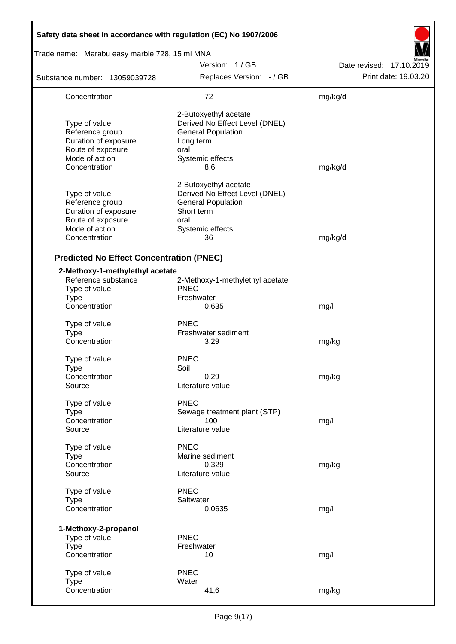| Safety data sheet in accordance with regulation (EC) No 1907/2006                                                |                                                                                                                                      |                          |
|------------------------------------------------------------------------------------------------------------------|--------------------------------------------------------------------------------------------------------------------------------------|--------------------------|
| Trade name: Marabu easy marble 728, 15 ml MNA                                                                    |                                                                                                                                      |                          |
|                                                                                                                  | Version: 1/GB                                                                                                                        | Date revised: 17.10.2019 |
| Substance number: 13059039728                                                                                    | Replaces Version: - / GB                                                                                                             | Print date: 19.03.20     |
| Concentration                                                                                                    | 72                                                                                                                                   | mg/kg/d                  |
| Type of value<br>Reference group<br>Duration of exposure<br>Route of exposure<br>Mode of action<br>Concentration | 2-Butoxyethyl acetate<br>Derived No Effect Level (DNEL)<br><b>General Population</b><br>Long term<br>oral<br>Systemic effects<br>8,6 | mg/kg/d                  |
| Type of value<br>Reference group<br>Duration of exposure<br>Route of exposure<br>Mode of action<br>Concentration | 2-Butoxyethyl acetate<br>Derived No Effect Level (DNEL)<br><b>General Population</b><br>Short term<br>oral<br>Systemic effects<br>36 | mg/kg/d                  |
| <b>Predicted No Effect Concentration (PNEC)</b>                                                                  |                                                                                                                                      |                          |
| 2-Methoxy-1-methylethyl acetate<br>Reference substance<br>Type of value<br><b>Type</b>                           | 2-Methoxy-1-methylethyl acetate<br><b>PNEC</b><br>Freshwater                                                                         |                          |
| Concentration                                                                                                    | 0,635                                                                                                                                | mg/l                     |
| Type of value<br><b>Type</b><br>Concentration                                                                    | <b>PNEC</b><br>Freshwater sediment<br>3,29                                                                                           | mg/kg                    |
| Type of value<br><b>Type</b><br>Concentration<br>Source                                                          | <b>PNEC</b><br>Soil<br>0,29<br>Literature value                                                                                      | mg/kg                    |
| Type of value<br><b>Type</b><br>Concentration<br>Source                                                          | <b>PNEC</b><br>Sewage treatment plant (STP)<br>100<br>Literature value                                                               | mg/l                     |
| Type of value<br><b>Type</b><br>Concentration<br>Source                                                          | <b>PNEC</b><br>Marine sediment<br>0,329<br>Literature value                                                                          | mg/kg                    |
| Type of value<br><b>Type</b><br>Concentration                                                                    | <b>PNEC</b><br>Saltwater<br>0,0635                                                                                                   | mg/l                     |
| 1-Methoxy-2-propanol<br>Type of value<br><b>Type</b><br>Concentration                                            | <b>PNEC</b><br>Freshwater<br>10                                                                                                      | mg/l                     |
| Type of value<br><b>Type</b><br>Concentration                                                                    | <b>PNEC</b><br>Water<br>41,6                                                                                                         | mg/kg                    |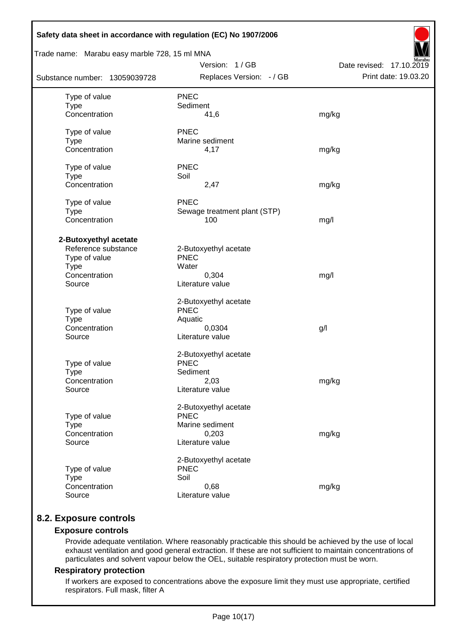| Safety data sheet in accordance with regulation (EC) No 1907/2006 |                              |                          |
|-------------------------------------------------------------------|------------------------------|--------------------------|
| Trade name: Marabu easy marble 728, 15 ml MNA                     |                              |                          |
|                                                                   | Version: 1/GB                | Date revised: 17.10.2019 |
| Substance number: 13059039728                                     | Replaces Version: - / GB     | Print date: 19.03.20     |
| Type of value                                                     | <b>PNEC</b>                  |                          |
| <b>Type</b>                                                       | Sediment                     |                          |
| Concentration                                                     | 41,6                         | mg/kg                    |
| Type of value                                                     | <b>PNEC</b>                  |                          |
| <b>Type</b>                                                       | Marine sediment              |                          |
| Concentration                                                     | 4,17                         | mg/kg                    |
| Type of value                                                     | <b>PNEC</b>                  |                          |
| <b>Type</b>                                                       | Soil                         |                          |
| Concentration                                                     | 2,47                         | mg/kg                    |
| Type of value                                                     | <b>PNEC</b>                  |                          |
| <b>Type</b>                                                       | Sewage treatment plant (STP) |                          |
| Concentration                                                     | 100                          | mg/l                     |
| 2-Butoxyethyl acetate                                             |                              |                          |
| Reference substance                                               | 2-Butoxyethyl acetate        |                          |
| Type of value                                                     | <b>PNEC</b>                  |                          |
| <b>Type</b>                                                       | Water                        |                          |
| Concentration                                                     | 0,304                        | mg/l                     |
| Source                                                            | Literature value             |                          |
|                                                                   | 2-Butoxyethyl acetate        |                          |
| Type of value                                                     | <b>PNEC</b>                  |                          |
| <b>Type</b>                                                       | Aquatic                      |                          |
| Concentration                                                     | 0,0304                       | g/l                      |
| Source                                                            | Literature value             |                          |
|                                                                   | 2-Butoxyethyl acetate        |                          |
| Type of value                                                     | <b>PNEC</b>                  |                          |
| <b>Type</b>                                                       | Sediment                     |                          |
| Concentration                                                     | 2,03                         | mg/kg                    |
| Source                                                            | Literature value             |                          |
|                                                                   | 2-Butoxyethyl acetate        |                          |
| Type of value                                                     | <b>PNEC</b>                  |                          |
| <b>Type</b>                                                       | Marine sediment              |                          |
| Concentration                                                     | 0,203                        | mg/kg                    |
| Source                                                            | Literature value             |                          |
|                                                                   | 2-Butoxyethyl acetate        |                          |
| Type of value                                                     | <b>PNEC</b>                  |                          |
| <b>Type</b>                                                       | Soil                         |                          |
| Concentration                                                     | 0,68                         | mg/kg                    |
| Source                                                            | Literature value             |                          |
|                                                                   |                              |                          |

# **8.2. Exposure controls**

### **Exposure controls**

Provide adequate ventilation. Where reasonably practicable this should be achieved by the use of local exhaust ventilation and good general extraction. If these are not sufficient to maintain concentrations of particulates and solvent vapour below the OEL, suitable respiratory protection must be worn.

#### **Respiratory protection**

If workers are exposed to concentrations above the exposure limit they must use appropriate, certified respirators. Full mask, filter A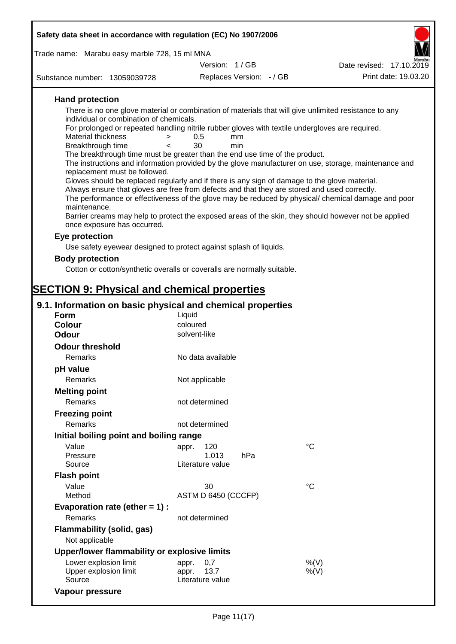|                                                                                                                              | Safety data sheet in accordance with regulation (EC) No 1907/2006 |                          |                                                                                                       |  |  |  |  |
|------------------------------------------------------------------------------------------------------------------------------|-------------------------------------------------------------------|--------------------------|-------------------------------------------------------------------------------------------------------|--|--|--|--|
| Trade name: Marabu easy marble 728, 15 ml MNA                                                                                |                                                                   |                          |                                                                                                       |  |  |  |  |
|                                                                                                                              | Version: 1/GB                                                     |                          | Date revised: 17.10.2019                                                                              |  |  |  |  |
| Substance number: 13059039728                                                                                                |                                                                   | Replaces Version: - / GB | Print date: 19.03.20                                                                                  |  |  |  |  |
| <b>Hand protection</b>                                                                                                       |                                                                   |                          |                                                                                                       |  |  |  |  |
|                                                                                                                              |                                                                   |                          | There is no one glove material or combination of materials that will give unlimited resistance to any |  |  |  |  |
| individual or combination of chemicals.                                                                                      |                                                                   |                          |                                                                                                       |  |  |  |  |
| For prolonged or repeated handling nitrile rubber gloves with textile undergloves are required.<br><b>Material thickness</b> | mm                                                                |                          |                                                                                                       |  |  |  |  |
| $\, > \,$<br>Breakthrough time<br>$\overline{a}$                                                                             | 0,5<br>30<br>min                                                  |                          |                                                                                                       |  |  |  |  |
| The breakthrough time must be greater than the end use time of the product.                                                  |                                                                   |                          |                                                                                                       |  |  |  |  |
| replacement must be followed.                                                                                                |                                                                   |                          | The instructions and information provided by the glove manufacturer on use, storage, maintenance and  |  |  |  |  |
| Gloves should be replaced regularly and if there is any sign of damage to the glove material.                                |                                                                   |                          |                                                                                                       |  |  |  |  |
| Always ensure that gloves are free from defects and that they are stored and used correctly.                                 |                                                                   |                          |                                                                                                       |  |  |  |  |
|                                                                                                                              |                                                                   |                          | The performance or effectiveness of the glove may be reduced by physical/ chemical damage and poor    |  |  |  |  |
| maintenance.                                                                                                                 |                                                                   |                          | Barrier creams may help to protect the exposed areas of the skin, they should however not be applied  |  |  |  |  |
| once exposure has occurred.                                                                                                  |                                                                   |                          |                                                                                                       |  |  |  |  |
| Eye protection                                                                                                               |                                                                   |                          |                                                                                                       |  |  |  |  |
| Use safety eyewear designed to protect against splash of liquids.                                                            |                                                                   |                          |                                                                                                       |  |  |  |  |
| <b>Body protection</b>                                                                                                       |                                                                   |                          |                                                                                                       |  |  |  |  |
| Cotton or cotton/synthetic overalls or coveralls are normally suitable.                                                      |                                                                   |                          |                                                                                                       |  |  |  |  |
|                                                                                                                              |                                                                   |                          |                                                                                                       |  |  |  |  |
| <b>SECTION 9: Physical and chemical properties</b>                                                                           |                                                                   |                          |                                                                                                       |  |  |  |  |
| 9.1. Information on basic physical and chemical properties                                                                   |                                                                   |                          |                                                                                                       |  |  |  |  |
| Form                                                                                                                         | Liquid                                                            |                          |                                                                                                       |  |  |  |  |
| <b>Colour</b><br><b>Odour</b>                                                                                                | coloured<br>solvent-like                                          |                          |                                                                                                       |  |  |  |  |
| <b>Odour threshold</b>                                                                                                       |                                                                   |                          |                                                                                                       |  |  |  |  |
| Remarks                                                                                                                      | No data available                                                 |                          |                                                                                                       |  |  |  |  |
| pH value                                                                                                                     |                                                                   |                          |                                                                                                       |  |  |  |  |
| <b>Remarks</b>                                                                                                               | Not applicable                                                    |                          |                                                                                                       |  |  |  |  |
| <b>Melting point</b>                                                                                                         |                                                                   |                          |                                                                                                       |  |  |  |  |
| Remarks                                                                                                                      | not determined                                                    |                          |                                                                                                       |  |  |  |  |
| <b>Freezing point</b>                                                                                                        |                                                                   |                          |                                                                                                       |  |  |  |  |
| Remarks                                                                                                                      | not determined                                                    |                          |                                                                                                       |  |  |  |  |
| Initial boiling point and boiling range                                                                                      |                                                                   |                          |                                                                                                       |  |  |  |  |
| Value                                                                                                                        | 120<br>appr.                                                      |                          | $^{\circ}C$                                                                                           |  |  |  |  |
| Pressure                                                                                                                     | 1.013                                                             | hPa                      |                                                                                                       |  |  |  |  |
| Source                                                                                                                       | Literature value                                                  |                          |                                                                                                       |  |  |  |  |
| <b>Flash point</b>                                                                                                           |                                                                   |                          |                                                                                                       |  |  |  |  |
| Value<br>Method                                                                                                              | 30<br>ASTM D 6450 (CCCFP)                                         |                          | $^{\circ}C$                                                                                           |  |  |  |  |
| Evaporation rate (ether $= 1$ ) :                                                                                            |                                                                   |                          |                                                                                                       |  |  |  |  |
| Remarks                                                                                                                      | not determined                                                    |                          |                                                                                                       |  |  |  |  |
| <b>Flammability (solid, gas)</b>                                                                                             |                                                                   |                          |                                                                                                       |  |  |  |  |
| Not applicable                                                                                                               |                                                                   |                          |                                                                                                       |  |  |  |  |
| Upper/lower flammability or explosive limits                                                                                 |                                                                   |                          |                                                                                                       |  |  |  |  |
|                                                                                                                              |                                                                   |                          |                                                                                                       |  |  |  |  |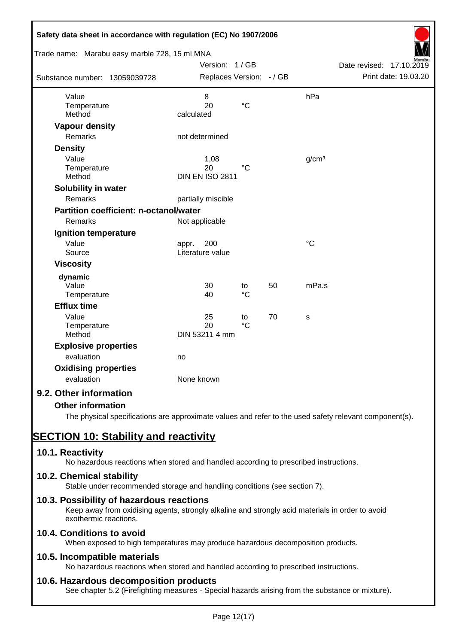| Safety data sheet in accordance with regulation (EC) No 1907/2006<br>Trade name: Marabu easy marble 728, 15 ml MNA |                                           |                       |    |                   |                                                  |
|--------------------------------------------------------------------------------------------------------------------|-------------------------------------------|-----------------------|----|-------------------|--------------------------------------------------|
| Substance number: 13059039728                                                                                      | Version: 1/GB<br>Replaces Version: - / GB |                       |    |                   | Date revised: 17.10.2019<br>Print date: 19.03.20 |
| Value<br>Temperature<br>Method                                                                                     | 8<br>20<br>calculated                     | $\rm ^{\circ}C$       |    | hPa               |                                                  |
| <b>Vapour density</b><br>Remarks                                                                                   | not determined                            |                       |    |                   |                                                  |
| <b>Density</b><br>Value<br>Temperature<br>Method                                                                   | 1,08<br>20<br><b>DIN EN ISO 2811</b>      | $^{\circ}C$           |    | g/cm <sup>3</sup> |                                                  |
| Solubility in water<br>Remarks                                                                                     | partially miscible                        |                       |    |                   |                                                  |
| Partition coefficient: n-octanol/water<br>Remarks                                                                  | Not applicable                            |                       |    |                   |                                                  |
| Ignition temperature<br>Value<br>Source                                                                            | 200<br>appr.<br>Literature value          |                       |    | $\rm ^{\circ}C$   |                                                  |
| <b>Viscosity</b>                                                                                                   |                                           |                       |    |                   |                                                  |
| dynamic<br>Value<br>Temperature                                                                                    | 30<br>40                                  | to<br>$\rm ^{\circ}C$ | 50 | mPa.s             |                                                  |
| <b>Efflux time</b>                                                                                                 |                                           |                       |    |                   |                                                  |
| Value<br>Temperature<br>Method                                                                                     | 25<br>20<br>DIN 53211 4 mm                | to<br>$\rm ^{\circ}C$ | 70 | s                 |                                                  |
| <b>Explosive properties</b><br>evaluation                                                                          | no                                        |                       |    |                   |                                                  |
| <b>Oxidising properties</b><br>evaluation                                                                          | None known                                |                       |    |                   |                                                  |
| 9.2. Other information                                                                                             |                                           |                       |    |                   |                                                  |
| <b>Other information</b>                                                                                           |                                           |                       |    |                   |                                                  |

The physical specifications are approximate values and refer to the used safety relevant component(s).

# **SECTION 10: Stability and reactivity**

# **10.1. Reactivity**

No hazardous reactions when stored and handled according to prescribed instructions.

# **10.2. Chemical stability**

Stable under recommended storage and handling conditions (see section 7).

# **10.3. Possibility of hazardous reactions**

Keep away from oxidising agents, strongly alkaline and strongly acid materials in order to avoid exothermic reactions.

# **10.4. Conditions to avoid**

When exposed to high temperatures may produce hazardous decomposition products.

# **10.5. Incompatible materials**

No hazardous reactions when stored and handled according to prescribed instructions.

# **10.6. Hazardous decomposition products**

See chapter 5.2 (Firefighting measures - Special hazards arising from the substance or mixture).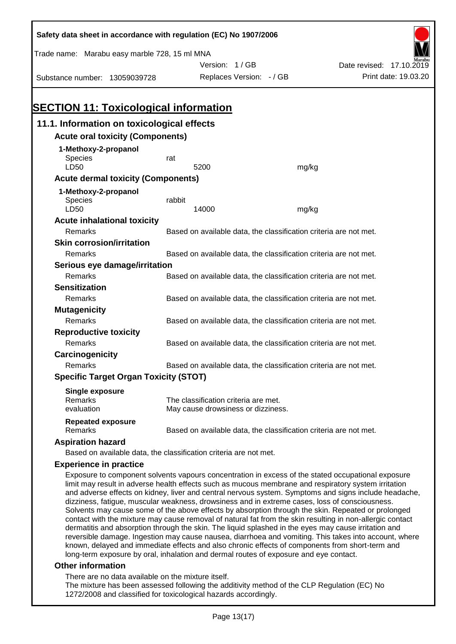| Safety data sheet in accordance with regulation (EC) No 1907/2006                                    |        |                                                                   |       |                                                                                                    |
|------------------------------------------------------------------------------------------------------|--------|-------------------------------------------------------------------|-------|----------------------------------------------------------------------------------------------------|
| Trade name: Marabu easy marble 728, 15 ml MNA                                                        |        |                                                                   |       |                                                                                                    |
|                                                                                                      |        | Version: 1/GB                                                     |       | Date revised: 17.10.2019                                                                           |
| Substance number: 13059039728                                                                        |        | Replaces Version: - / GB                                          |       | Print date: 19.03.20                                                                               |
|                                                                                                      |        |                                                                   |       |                                                                                                    |
|                                                                                                      |        |                                                                   |       |                                                                                                    |
| <b>SECTION 11: Toxicological information</b>                                                         |        |                                                                   |       |                                                                                                    |
| 11.1. Information on toxicological effects                                                           |        |                                                                   |       |                                                                                                    |
| <b>Acute oral toxicity (Components)</b>                                                              |        |                                                                   |       |                                                                                                    |
| 1-Methoxy-2-propanol                                                                                 |        |                                                                   |       |                                                                                                    |
| <b>Species</b>                                                                                       | rat    |                                                                   |       |                                                                                                    |
| LD50                                                                                                 |        | 5200                                                              | mg/kg |                                                                                                    |
| <b>Acute dermal toxicity (Components)</b>                                                            |        |                                                                   |       |                                                                                                    |
| 1-Methoxy-2-propanol                                                                                 |        |                                                                   |       |                                                                                                    |
| Species<br><b>LD50</b>                                                                               | rabbit | 14000                                                             | mg/kg |                                                                                                    |
| <b>Acute inhalational toxicity</b>                                                                   |        |                                                                   |       |                                                                                                    |
| Remarks                                                                                              |        | Based on available data, the classification criteria are not met. |       |                                                                                                    |
| <b>Skin corrosion/irritation</b>                                                                     |        |                                                                   |       |                                                                                                    |
| Remarks                                                                                              |        | Based on available data, the classification criteria are not met. |       |                                                                                                    |
| Serious eye damage/irritation                                                                        |        |                                                                   |       |                                                                                                    |
| Remarks                                                                                              |        | Based on available data, the classification criteria are not met. |       |                                                                                                    |
| <b>Sensitization</b>                                                                                 |        |                                                                   |       |                                                                                                    |
| Remarks                                                                                              |        | Based on available data, the classification criteria are not met. |       |                                                                                                    |
| <b>Mutagenicity</b>                                                                                  |        |                                                                   |       |                                                                                                    |
| Remarks                                                                                              |        | Based on available data, the classification criteria are not met. |       |                                                                                                    |
| <b>Reproductive toxicity</b>                                                                         |        |                                                                   |       |                                                                                                    |
| Remarks                                                                                              |        | Based on available data, the classification criteria are not met. |       |                                                                                                    |
| Carcinogenicity                                                                                      |        |                                                                   |       |                                                                                                    |
| Remarks                                                                                              |        | Based on available data, the classification criteria are not met. |       |                                                                                                    |
| <b>Specific Target Organ Toxicity (STOT)</b>                                                         |        |                                                                   |       |                                                                                                    |
| <b>Single exposure</b>                                                                               |        |                                                                   |       |                                                                                                    |
| Remarks                                                                                              |        | The classification criteria are met.                              |       |                                                                                                    |
| evaluation                                                                                           |        | May cause drowsiness or dizziness.                                |       |                                                                                                    |
| <b>Repeated exposure</b><br>Remarks                                                                  |        | Based on available data, the classification criteria are not met. |       |                                                                                                    |
| <b>Aspiration hazard</b>                                                                             |        |                                                                   |       |                                                                                                    |
| Based on available data, the classification criteria are not met.                                    |        |                                                                   |       |                                                                                                    |
| <b>Experience in practice</b>                                                                        |        |                                                                   |       |                                                                                                    |
| limit may result in adverse health effects such as mucous membrane and respiratory system irritation |        |                                                                   |       | Exposure to component solvents vapours concentration in excess of the stated occupational exposure |

and adverse effects on kidney, liver and central nervous system. Symptoms and signs include headache, dizziness, fatigue, muscular weakness, drowsiness and in extreme cases, loss of consciousness. Solvents may cause some of the above effects by absorption through the skin. Repeated or prolonged contact with the mixture may cause removal of natural fat from the skin resulting in non-allergic contact dermatitis and absorption through the skin. The liquid splashed in the eyes may cause irritation and reversible damage. Ingestion may cause nausea, diarrhoea and vomiting. This takes into account, where known, delayed and immediate effects and also chronic effects of components from short-term and long-term exposure by oral, inhalation and dermal routes of exposure and eye contact.

#### **Other information**

There are no data available on the mixture itself.

The mixture has been assessed following the additivity method of the CLP Regulation (EC) No 1272/2008 and classified for toxicological hazards accordingly.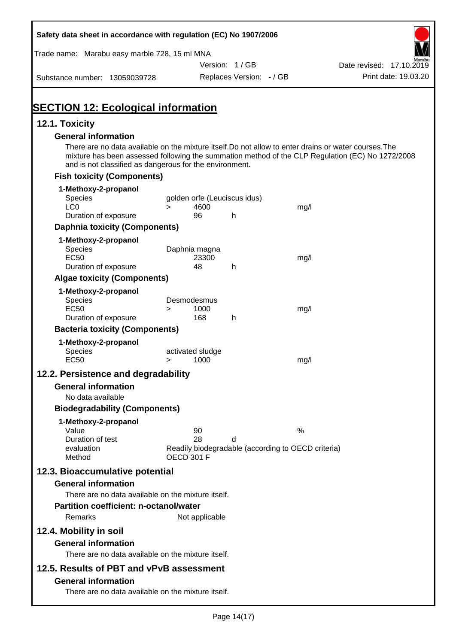| Safety data sheet in accordance with regulation (EC) No 1907/2006                                                                                                                                                                                                    |                   |                  |                              |                                                    |                          |
|----------------------------------------------------------------------------------------------------------------------------------------------------------------------------------------------------------------------------------------------------------------------|-------------------|------------------|------------------------------|----------------------------------------------------|--------------------------|
| Trade name: Marabu easy marble 728, 15 ml MNA                                                                                                                                                                                                                        |                   |                  |                              |                                                    |                          |
|                                                                                                                                                                                                                                                                      |                   |                  | Version: 1/GB                |                                                    | Date revised: 17.10.2019 |
| Substance number: 13059039728                                                                                                                                                                                                                                        |                   |                  | Replaces Version: - / GB     |                                                    | Print date: 19.03.20     |
| <b>SECTION 12: Ecological information</b>                                                                                                                                                                                                                            |                   |                  |                              |                                                    |                          |
| 12.1. Toxicity                                                                                                                                                                                                                                                       |                   |                  |                              |                                                    |                          |
| <b>General information</b>                                                                                                                                                                                                                                           |                   |                  |                              |                                                    |                          |
| There are no data available on the mixture itself. Do not allow to enter drains or water courses. The<br>mixture has been assessed following the summation method of the CLP Regulation (EC) No 1272/2008<br>and is not classified as dangerous for the environment. |                   |                  |                              |                                                    |                          |
| <b>Fish toxicity (Components)</b>                                                                                                                                                                                                                                    |                   |                  |                              |                                                    |                          |
| 1-Methoxy-2-propanol                                                                                                                                                                                                                                                 |                   |                  |                              |                                                    |                          |
| <b>Species</b><br>LC <sub>0</sub>                                                                                                                                                                                                                                    | $\geq$            | 4600             | golden orfe (Leuciscus idus) | mg/l                                               |                          |
| Duration of exposure                                                                                                                                                                                                                                                 |                   | 96               | h                            |                                                    |                          |
| <b>Daphnia toxicity (Components)</b>                                                                                                                                                                                                                                 |                   |                  |                              |                                                    |                          |
| 1-Methoxy-2-propanol                                                                                                                                                                                                                                                 |                   |                  |                              |                                                    |                          |
| <b>Species</b>                                                                                                                                                                                                                                                       |                   | Daphnia magna    |                              |                                                    |                          |
| <b>EC50</b><br>Duration of exposure                                                                                                                                                                                                                                  |                   | 23300<br>48      | h                            | mg/l                                               |                          |
| <b>Algae toxicity (Components)</b>                                                                                                                                                                                                                                   |                   |                  |                              |                                                    |                          |
| 1-Methoxy-2-propanol                                                                                                                                                                                                                                                 |                   |                  |                              |                                                    |                          |
| Species                                                                                                                                                                                                                                                              |                   | Desmodesmus      |                              |                                                    |                          |
| <b>EC50</b><br>Duration of exposure                                                                                                                                                                                                                                  | $\geq$            | 1000<br>168      | h                            | mg/l                                               |                          |
| <b>Bacteria toxicity (Components)</b>                                                                                                                                                                                                                                |                   |                  |                              |                                                    |                          |
| 1-Methoxy-2-propanol                                                                                                                                                                                                                                                 |                   |                  |                              |                                                    |                          |
| Species                                                                                                                                                                                                                                                              |                   | activated sludge |                              |                                                    |                          |
| <b>EC50</b>                                                                                                                                                                                                                                                          | $\geq$            | 1000             |                              | mg/l                                               |                          |
| 12.2. Persistence and degradability                                                                                                                                                                                                                                  |                   |                  |                              |                                                    |                          |
| <b>General information</b>                                                                                                                                                                                                                                           |                   |                  |                              |                                                    |                          |
| No data available                                                                                                                                                                                                                                                    |                   |                  |                              |                                                    |                          |
| <b>Biodegradability (Components)</b>                                                                                                                                                                                                                                 |                   |                  |                              |                                                    |                          |
| 1-Methoxy-2-propanol<br>Value                                                                                                                                                                                                                                        |                   | 90               |                              | $\%$                                               |                          |
| Duration of test                                                                                                                                                                                                                                                     |                   | 28               | d                            |                                                    |                          |
| evaluation                                                                                                                                                                                                                                                           |                   |                  |                              | Readily biodegradable (according to OECD criteria) |                          |
| Method                                                                                                                                                                                                                                                               | <b>OECD 301 F</b> |                  |                              |                                                    |                          |
| 12.3. Bioaccumulative potential                                                                                                                                                                                                                                      |                   |                  |                              |                                                    |                          |
| <b>General information</b>                                                                                                                                                                                                                                           |                   |                  |                              |                                                    |                          |
| There are no data available on the mixture itself.<br>Partition coefficient: n-octanol/water                                                                                                                                                                         |                   |                  |                              |                                                    |                          |
| Remarks                                                                                                                                                                                                                                                              |                   | Not applicable   |                              |                                                    |                          |
|                                                                                                                                                                                                                                                                      |                   |                  |                              |                                                    |                          |
| 12.4. Mobility in soil<br><b>General information</b>                                                                                                                                                                                                                 |                   |                  |                              |                                                    |                          |
| There are no data available on the mixture itself.                                                                                                                                                                                                                   |                   |                  |                              |                                                    |                          |
| 12.5. Results of PBT and vPvB assessment                                                                                                                                                                                                                             |                   |                  |                              |                                                    |                          |
| <b>General information</b>                                                                                                                                                                                                                                           |                   |                  |                              |                                                    |                          |
| There are no data available on the mixture itself.                                                                                                                                                                                                                   |                   |                  |                              |                                                    |                          |
|                                                                                                                                                                                                                                                                      |                   |                  |                              |                                                    |                          |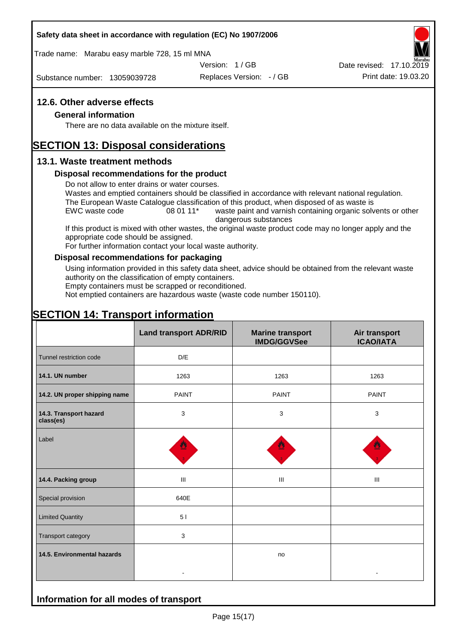#### **Safety data sheet in accordance with regulation (EC) No 1907/2006**

Trade name: Marabu easy marble 728, 15 ml MNA

Version: 1 / GB

Substance number: 13059039728

Replaces Version: - / GB Print date: 19.03.20 Date revised: 17.10.2019

#### **12.6. Other adverse effects**

#### **General information**

There are no data available on the mixture itself.

# **SECTION 13: Disposal considerations**

#### **13.1. Waste treatment methods**

#### **Disposal recommendations for the product**

Do not allow to enter drains or water courses.

Wastes and emptied containers should be classified in accordance with relevant national regulation. The European Waste Catalogue classification of this product, when disposed of as waste is

EWC waste code 08 01 11<sup>\*</sup> waste paint and varnish containing organic solvents or other dangerous substances

If this product is mixed with other wastes, the original waste product code may no longer apply and the appropriate code should be assigned.

For further information contact your local waste authority.

#### **Disposal recommendations for packaging**

Using information provided in this safety data sheet, advice should be obtained from the relevant waste authority on the classification of empty containers.

Empty containers must be scrapped or reconditioned.

Not emptied containers are hazardous waste (waste code number 150110).

# **SECTION 14: Transport information**

**Information for all modes of transport**

|                                     | <b>Land transport ADR/RID</b> | <b>Marine transport</b><br><b>IMDG/GGVSee</b> | Air transport<br><b>ICAO/IATA</b> |  |
|-------------------------------------|-------------------------------|-----------------------------------------------|-----------------------------------|--|
| Tunnel restriction code             | D/E                           |                                               |                                   |  |
| 14.1. UN number                     | 1263                          | 1263                                          | 1263                              |  |
| 14.2. UN proper shipping name       | <b>PAINT</b>                  | <b>PAINT</b>                                  | <b>PAINT</b>                      |  |
| 14.3. Transport hazard<br>class(es) | 3                             | 3                                             | 3                                 |  |
| Label                               |                               |                                               |                                   |  |
| 14.4. Packing group                 | Ш                             | Ш                                             | Ш                                 |  |
| Special provision                   | 640E                          |                                               |                                   |  |
| <b>Limited Quantity</b>             | 51                            |                                               |                                   |  |
| Transport category                  | 3                             |                                               |                                   |  |
| 14.5. Environmental hazards         | $\blacksquare$                | no                                            |                                   |  |
|                                     |                               |                                               |                                   |  |

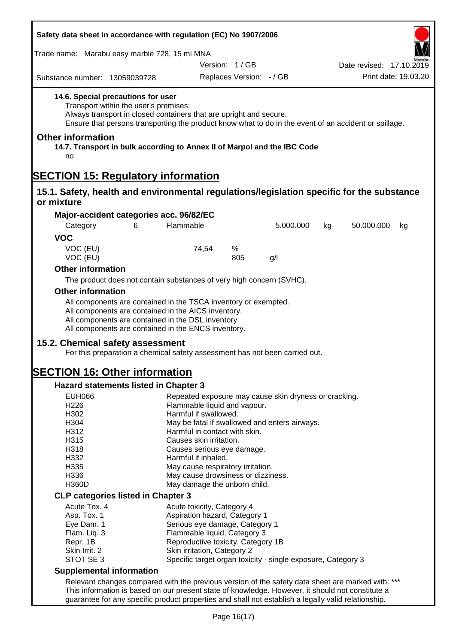| Safety data sheet in accordance with regulation (EC) No 1907/2006                                                                                  |                                                                                                                                                                                                                                                                                                              |                                                                                                                                                                                                                                                                                   |                                           |                                                                                                        |    |                                                                                                       |  |
|----------------------------------------------------------------------------------------------------------------------------------------------------|--------------------------------------------------------------------------------------------------------------------------------------------------------------------------------------------------------------------------------------------------------------------------------------------------------------|-----------------------------------------------------------------------------------------------------------------------------------------------------------------------------------------------------------------------------------------------------------------------------------|-------------------------------------------|--------------------------------------------------------------------------------------------------------|----|-------------------------------------------------------------------------------------------------------|--|
| Trade name: Marabu easy marble 728, 15 ml MNA                                                                                                      |                                                                                                                                                                                                                                                                                                              |                                                                                                                                                                                                                                                                                   |                                           |                                                                                                        |    |                                                                                                       |  |
| Substance number: 13059039728                                                                                                                      |                                                                                                                                                                                                                                                                                                              |                                                                                                                                                                                                                                                                                   | Version: 1/GB<br>Replaces Version: - / GB |                                                                                                        |    | Date revised: 17.10.2019<br>Print date: 19.03.20                                                      |  |
| 14.6. Special precautions for user                                                                                                                 | Transport within the user's premises:<br>Always transport in closed containers that are upright and secure.                                                                                                                                                                                                  |                                                                                                                                                                                                                                                                                   |                                           |                                                                                                        |    | Ensure that persons transporting the product know what to do in the event of an accident or spillage. |  |
| <b>Other information</b><br>14.7. Transport in bulk according to Annex II of Marpol and the IBC Code<br>no                                         |                                                                                                                                                                                                                                                                                                              |                                                                                                                                                                                                                                                                                   |                                           |                                                                                                        |    |                                                                                                       |  |
| <b>SECTION 15: Regulatory information</b>                                                                                                          |                                                                                                                                                                                                                                                                                                              |                                                                                                                                                                                                                                                                                   |                                           |                                                                                                        |    |                                                                                                       |  |
| 15.1. Safety, health and environmental regulations/legislation specific for the substance<br>or mixture                                            |                                                                                                                                                                                                                                                                                                              |                                                                                                                                                                                                                                                                                   |                                           |                                                                                                        |    |                                                                                                       |  |
| Major-accident categories acc. 96/82/EC                                                                                                            |                                                                                                                                                                                                                                                                                                              |                                                                                                                                                                                                                                                                                   |                                           |                                                                                                        |    |                                                                                                       |  |
| Category                                                                                                                                           | 6                                                                                                                                                                                                                                                                                                            | Flammable                                                                                                                                                                                                                                                                         |                                           | 5.000.000                                                                                              | kg | 50.000.000<br>kg                                                                                      |  |
| <b>VOC</b>                                                                                                                                         |                                                                                                                                                                                                                                                                                                              |                                                                                                                                                                                                                                                                                   |                                           |                                                                                                        |    |                                                                                                       |  |
| VOC (EU)<br>VOC (EU)                                                                                                                               |                                                                                                                                                                                                                                                                                                              | 74,54                                                                                                                                                                                                                                                                             | %<br>805                                  | g/l                                                                                                    |    |                                                                                                       |  |
| <b>Other information</b>                                                                                                                           |                                                                                                                                                                                                                                                                                                              |                                                                                                                                                                                                                                                                                   |                                           |                                                                                                        |    |                                                                                                       |  |
|                                                                                                                                                    | The product does not contain substances of very high concern (SVHC).                                                                                                                                                                                                                                         |                                                                                                                                                                                                                                                                                   |                                           |                                                                                                        |    |                                                                                                       |  |
| <b>Other information</b>                                                                                                                           |                                                                                                                                                                                                                                                                                                              |                                                                                                                                                                                                                                                                                   |                                           |                                                                                                        |    |                                                                                                       |  |
|                                                                                                                                                    | All components are contained in the TSCA inventory or exempted.<br>All components are contained in the AICS inventory.<br>All components are contained in the DSL inventory.<br>All components are contained in the ENCS inventory.                                                                          |                                                                                                                                                                                                                                                                                   |                                           |                                                                                                        |    |                                                                                                       |  |
| 15.2. Chemical safety assessment                                                                                                                   | For this preparation a chemical safety assessment has not been carried out.                                                                                                                                                                                                                                  |                                                                                                                                                                                                                                                                                   |                                           |                                                                                                        |    |                                                                                                       |  |
| <b>SECTION 16: Other information</b>                                                                                                               |                                                                                                                                                                                                                                                                                                              |                                                                                                                                                                                                                                                                                   |                                           |                                                                                                        |    |                                                                                                       |  |
| Hazard statements listed in Chapter 3                                                                                                              |                                                                                                                                                                                                                                                                                                              |                                                                                                                                                                                                                                                                                   |                                           |                                                                                                        |    |                                                                                                       |  |
| <b>EUH066</b><br>H226<br>H302<br>H304<br>H312<br>H315<br>H318<br>H332<br>H335<br>H336<br><b>H360D</b><br><b>CLP categories listed in Chapter 3</b> |                                                                                                                                                                                                                                                                                                              | Flammable liquid and vapour.<br>Harmful if swallowed.<br>Harmful in contact with skin.<br>Causes skin irritation.<br>Causes serious eye damage.<br>Harmful if inhaled.<br>May cause respiratory irritation.<br>May cause drowsiness or dizziness.<br>May damage the unborn child. |                                           | Repeated exposure may cause skin dryness or cracking.<br>May be fatal if swallowed and enters airways. |    |                                                                                                       |  |
| Acute Tox. 4                                                                                                                                       |                                                                                                                                                                                                                                                                                                              | Acute toxicity, Category 4                                                                                                                                                                                                                                                        |                                           |                                                                                                        |    |                                                                                                       |  |
| Asp. Tox. 1<br>Eye Dam. 1<br>Flam. Liq. 3<br>Repr. 1B<br>Skin Irrit. 2<br>STOT SE 3                                                                |                                                                                                                                                                                                                                                                                                              | Aspiration hazard, Category 1<br>Serious eye damage, Category 1<br>Flammable liquid, Category 3<br>Reproductive toxicity, Category 1B<br>Skin irritation, Category 2                                                                                                              |                                           | Specific target organ toxicity - single exposure, Category 3                                           |    |                                                                                                       |  |
| <b>Supplemental information</b>                                                                                                                    |                                                                                                                                                                                                                                                                                                              |                                                                                                                                                                                                                                                                                   |                                           |                                                                                                        |    |                                                                                                       |  |
|                                                                                                                                                    | Relevant changes compared with the previous version of the safety data sheet are marked with: ***<br>This information is based on our present state of knowledge. However, it should not constitute a<br>guarantee for any specific product properties and shall not establish a legally valid relationship. |                                                                                                                                                                                                                                                                                   |                                           |                                                                                                        |    |                                                                                                       |  |